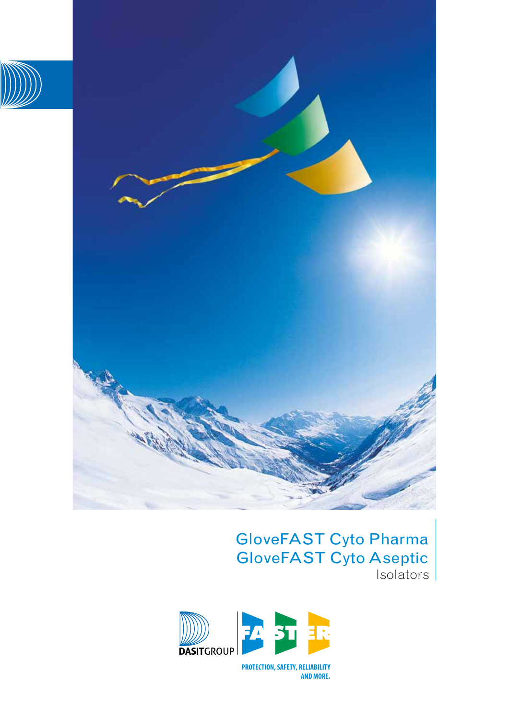



# GloveFAST Cyto Pharma GloveFAST Cyto Aseptic Isolators



PROTECTION, SAFETY, RELIABILITY AND MORE.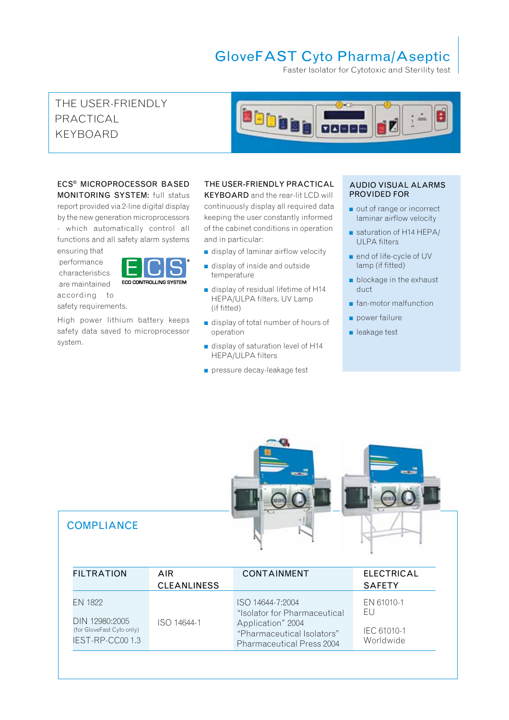# GloveFAST Cyto Pharma/Aseptic

Faster Isolator for Cytotoxic and Sterility test

# THE USER-FRIENDLY PRACTICAL KEYBOARD



### ECS® MICROPROCESSOR BASED MONITORING SYSTEM: full status

report provided via 2-line digital display by the new generation microprocessors - which automatically control all functions and all safety alarm systems ensuring that

 performance characteristics are maintained according to safety requirements.



High power lithium battery keeps safety data saved to microprocessor system.

# THE USER-FRIENDLY PRACTICAL

KEYBOARD and the rear-lit LCD will continuously display all required data keeping the user constantly informed of the cabinet conditions in operation and in particular:

- $\blacksquare$  display of laminar airflow velocity
- $\blacksquare$  display of inside and outside temperature
- $\blacksquare$  display of residual lifetime of H14 HEPA/ULPA filters, UV Lamp (if fitted)
- <sup>n</sup> display of total number of hours of operation
- $\blacksquare$  display of saturation level of H14 HEPA/ULPA filters
- **n** pressure decay-leakage test

#### AUDIO VISUAL ALARMS PROVIDED FOR

- out of range or incorrect laminar airflow velocity
- $\blacksquare$  saturation of H14 HEPA/ ULPA filters
- end of life-cycle of UV lamp (if fitted)
- $\blacksquare$  blockage in the exhaust duct
- n fan-motor malfunction
- $\Box$  power failure
- **n** leakage test

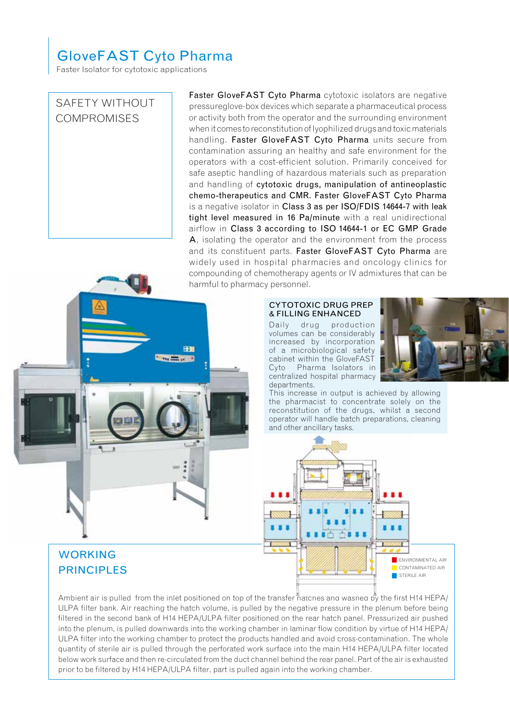# GloveFAST Cyto Pharma

Faster Isolator for cytotoxic applications

### SAFETY WITHOUT **COMPROMISES**

Faster GloveFAST Cyto Pharma cytotoxic isolators are negative pressureglove-box devices which separate a pharmaceutical process or activity both from the operator and the surrounding environment when it comes to reconstitution of lyophilized drugs and toxic materials handling. Faster GloveFAST Cyto Pharma units secure from contamination assuring an healthy and safe environment for the operators with a cost-efficient solution. Primarily conceived for safe aseptic handling of hazardous materials such as preparation and handling of cytotoxic drugs, manipulation of antineoplastic chemo-therapeutics and CMR. Faster GloveFAST Cyto Pharma is a negative isolator in Class 3 as per ISO/FDIS 14644-7 with leak tight level measured in 16 Pa/minute with a real unidirectional airflow in Class 3 according to ISO 14644-1 or EC GMP Grade A, isolating the operator and the environment from the process and its constituent parts. Faster GloveFAST Cyto Pharma are widely used in hospital pharmacies and oncology clinics for compounding of chemotherapy agents or IV admixtures that can be harmful to pharmacy personnel.



#### CYTOTOXIC DRUG PREP & FILLING ENHANCED

Daily drug production volumes can be considerably increased by incorporation of a microbiological safety cabinet within the GloveFAST Cyto Pharma Isolators in centralized hospital pharmacy departments.



This increase in output is achieved by allowing the pharmacist to concentrate solely on the reconstitution of the drugs, whilst a second operator will handle batch preparations, cleaning and other ancillary tasks.



WORKING PRINCIPLES

Ambient air is pulled from the inlet positioned on top of the transfer natches and washed by the first H14 HEPA/ ULPA filter bank. Air reaching the hatch volume, is pulled by the negative pressure in the plenum before being filtered in the second bank of H14 HEPA/ULPA filter positioned on the rear hatch panel. Pressurized air pushed into the plenum, is pulled downwards into the working chamber in laminar flow condition by virtue of H14 HEPA/ ULPA filter into the working chamber to protect the products handled and avoid cross-contamination. The whole quantity of sterile air is pulled through the perforated work surface into the main H14 HEPA/ULPA filter located below work surface and then re-circulated from the duct channel behind the rear panel. Part of the air is exhausted prior to be filtered by H14 HEPA/ULPA filter, part is pulled again into the working chamber.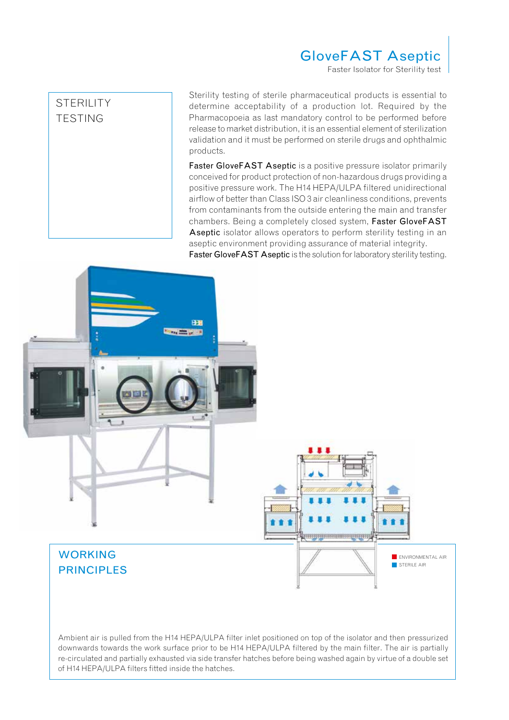# GloveFAST Aseptic

Faster Isolator for Sterility test

# STERILITY TESTING

Sterility testing of sterile pharmaceutical products is essential to determine acceptability of a production lot. Required by the Pharmacopoeia as last mandatory control to be performed before release to market distribution, it is an essential element of sterilization validation and it must be performed on sterile drugs and ophthalmic products.

Faster GloveFAST Aseptic is a positive pressure isolator primarily conceived for product protection of non-hazardous drugs providing a positive pressure work. The H14 HEPA/ULPA filtered unidirectional airflow of better than Class ISO 3 air cleanliness conditions, prevents from contaminants from the outside entering the main and transfer chambers. Being a completely closed system, Faster GloveFAST Aseptic isolator allows operators to perform sterility testing in an aseptic environment providing assurance of material integrity. Faster GloveFAST Aseptic is the solution for laboratory sterility testing.



Ambient air is pulled from the H14 HEPA/ULPA filter inlet positioned on top of the isolator and then pressurized downwards towards the work surface prior to be H14 HEPA/ULPA filtered by the main filter. The air is partially re-circulated and partially exhausted via side transfer hatches before being washed again by virtue of a double set of H14 HEPA/ULPA filters fitted inside the hatches.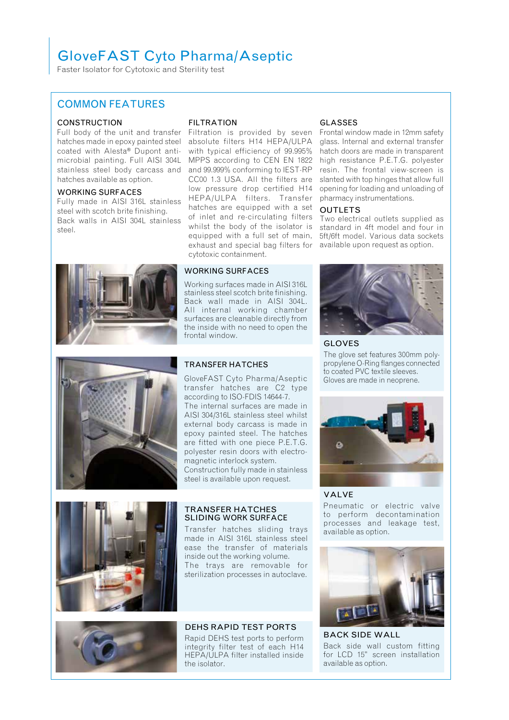# GloveFAST Cyto Pharma/Aseptic

Faster Isolator for Cytotoxic and Sterility test

### COMMON FEATURES

#### **CONSTRUCTION**

Full body of the unit and transfer hatches made in epoxy painted steel coated with Alesta® Dupont antimicrobial painting. Full AISI 304L stainless steel body carcass and hatches available as option.

#### WORKING SURFACES

Fully made in AISI 316L stainless steel with scotch brite finishing. Back walls in AISI 304L stainless steel.



#### FILTRATION

Filtration is provided by seven absolute filters H14 HEPA/ULPA with typical efficiency of 99.995% MPPS according to CEN EN 1822 and 99.999% conforming to IEST-RP CC00 1.3 USA. All the filters are low pressure drop certified H14 HEPA/ULPA filters. Transfer hatches are equipped with a set of inlet and re-circulating filters whilst the body of the isolator is equipped with a full set of main, exhaust and special bag filters for cytotoxic containment.

#### WORKING SURFACES

Working surfaces made in AISI 316L stainless steel scotch brite finishing. Back wall made in AISI 304L. All internal working chamber surfaces are cleanable directly from the inside with no need to open the frontal window.

#### GLASSES

Frontal window made in 12mm safety glass. Internal and external transfer hatch doors are made in transparent high resistance P.E.T.G. polyester resin. The frontal view-screen is slanted with top hinges that allow full opening for loading and unloading of pharmacy instrumentations.

#### OUTLETS

Two electrical outlets supplied as standard in 4ft model and four in 5ft/6ft model. Various data sockets available upon request as option.



GLOVES

The glove set features 300mm polypropylene O-Ring flanges connected to coated PVC textile sleeves. Gloves are made in neoprene.



### VALVE

Pneumatic or electric valve to perform decontamination processes and leakage test, available as option.



BACK SIDE WALL Back side wall custom fitting for LCD 15" screen installation available as option.



#### TRANSFER HATCHES SLIDING WORK SURFACE

Transfer hatches sliding trays made in AISI 316L stainless steel ease the transfer of materials inside out the working volume. The trays are removable for sterilization processes in autoclave.



Rapid DEHS test ports to perform integrity filter test of each H14 HEPA/ULPA filter installed inside the isolator.

DEHS RAPID TEST PORTS